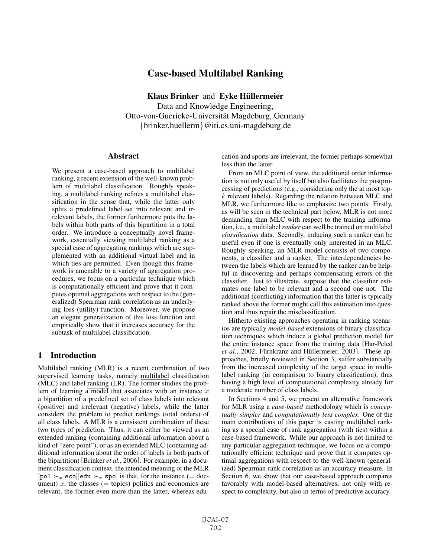# Case-based Multilabel Ranking

Klaus Brinker and Eyke Hüllermeier Data and Knowledge Engineering, Otto-von-Guericke-Universität Magdeburg, Germany {brinker,huellerm}@iti.cs.uni-magdeburg.de

#### Abstract

We present a case-based approach to multilabel ranking, a recent extension of the well-known problem of multilabel classification. Roughly speaking, a multilabel ranking refines a multilabel classification in the sense that, while the latter only splits a predefined label set into relevant and irrelevant labels, the former furthermore puts the labels within both parts of this bipartition in a total order. We introduce a conceptually novel framework, essentially viewing multilabel ranking as a special case of aggregating rankings which are supplemented with an additional virtual label and in which ties are permitted. Even though this framework is amenable to a variety of aggregation procedures, we focus on a particular technique which is computationally efficient and prove that it computes optimal aggregations with respect to the (generalized) Spearman rank correlation as an underlying loss (utility) function. Moreover, we propose an elegant generalization of this loss function and empirically show that it increases accuracy for the subtask of multilabel classification.

### 1 Introduction

Multilabel ranking (MLR) is a recent combination of two supervised learning tasks, namely multilabel classification (MLC) and label ranking (LR). The former studies the problem of learning a model that associates with an instance  $x$ a bipartition of a predefined set of class labels into relevant (positive) and irrelevant (negative) labels, while the latter considers the problem to predict rankings (total orders) of all class labels. A MLR is a consistent combination of these two types of prediction. Thus, it can either be viewed as an extended ranking (containing additional information about a kind of "zero point"), or as an extended MLC (containing additional information about the order of labels in both parts of the bipartition) [Brinker *et al.*, 2006]. For example, in a document classification context, the intended meaning of the MLR [pol  $\succ_x$  eco][edu  $\succ_x$  spo] is that, for the instance (= doc-<br>ument) x the classes (= tonics) politics and economics are ument) x, the classes ( $=$  topics) politics and economics are relevant, the former even more than the latter, whereas education and sports are irrelevant, the former perhaps somewhat less than the latter.

From an MLC point of view, the additional order information is not only useful by itself but also facilitates the postprocessing of predictions (e.g., considering only the at most top $k$  relevant labels). Regarding the relation between MLC and MLR, we furthermore like to emphasize two points: Firstly, as will be seen in the technical part below, MLR is not more demanding than MLC with respect to the training information, i.e., a multilabel *ranker* can well be trained on multilabel *classification* data. Secondly, inducing such a ranker can be useful even if one is eventually only interested in an MLC. Roughly speaking, an MLR model consists of two components, a classifier and a ranker. The interdependencies between the labels which are learned by the ranker can be helpful in discovering and perhaps compensating errors of the classifier. Just to illustrate, suppose that the classifier estimates one label to be relevant and a second one not. The additional (conflicting) information that the latter is typically ranked above the former might call this estimation into question and thus repair the misclassification.

Hitherto existing approaches operating in ranking scenarios are typically *model-based* extensions of binary classification techniques which induce a global prediction model for the entire instance space from the training data [Har-Peled *et al.*, 2002; Fürnkranz and Hüllermeier, 2003]. These approaches, briefly reviewed in Section 3, suffer substantially from the increased complexity of the target space in multilabel ranking (in comparison to binary classification), thus having a high level of computational complexity already for a moderate number of class labels.

In Sections 4 and 5, we present an alternative framework for MLR using a *case-based* methodology which is *conceptually simpler* and *computationally less complex*. One of the main contributions of this paper is casting multilabel ranking as a special case of rank aggregation (with ties) within a case-based framework. While our approach is not limited to any particular aggregation technique, we focus on a computationally efficient technique and prove that it computes optimal aggregations with respect to the well-known (generalized) Spearman rank correlation as an accuracy measure. In Section 6, we show that our case-based approach compares favorably with model-based alternatives, not only with respect to complexity, but also in terms of predictive accuracy.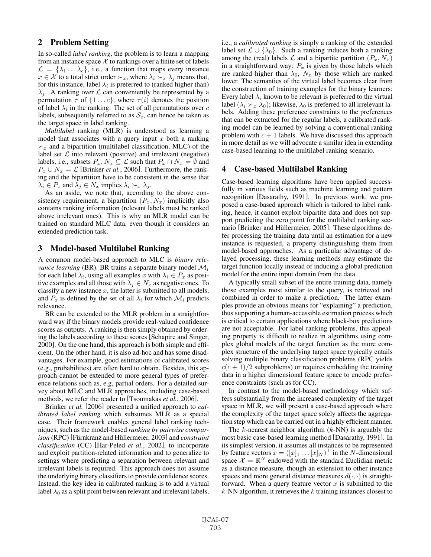## 2 Problem Setting

In so-called *label ranking*, the problem is to learn a mapping from an instance space  $X$  to rankings over a finite set of labels  $\mathcal{L} = {\lambda_1 \dots \lambda_c}$ , i.e., a function that maps every instance  $x \in \mathcal{X}$  to a total strict order  $\succ_x$ , where  $\lambda_i \succ_x \lambda_j$  means that, for this instance, label  $\lambda_i$  is preferred to (ranked higher than)  $\lambda_i$ . A ranking over  $\mathcal L$  can conveniently be represented by a permutation  $\tau$  of  $\{1 \dots c\}$ , where  $\tau(i)$  denotes the position of label  $\lambda_i$  in the ranking. The set of all permutations over c labels, subsequently referred to as  $S_c$ , can hence be taken as the target space in label ranking.

*Multilabel* ranking (MLR) is understood as learning a model that associates with a query input  $x$  both a ranking  $\succ_x$  and a bipartition (multilabel classification, MLC) of the label set  $\mathcal L$  into relevant (positive) and irrelevant (negative) labels, i.e., subsets  $P_x, N_x \subseteq \mathcal{L}$  such that  $P_x \cap N_x = \emptyset$  and  $P_x \cup N_x = \mathcal{L}$  [Brinker *et al.*, 2006]. Furthermore, the ranking and the bipartition have to be consistent in the sense that  $\lambda_i \in P_x$  and  $\lambda_j \in N_x$  implies  $\lambda_i \succ_x \lambda_j$ .

As an aside, we note that, according to the above consistency requirement, a bipartition  $(P_x, N_x)$  implicitly also contains ranking information (relevant labels must be ranked above irrelevant ones). This is why an MLR model can be trained on standard MLC data, even though it considers an extended prediction task.

#### 3 Model-based Multilabel Ranking

A common model-based approach to MLC is *binary relevance learning* (BR). BR trains a separate binary model  $\mathcal{M}_i$ for each label  $\lambda_i$ , using all examples x with  $\lambda_i \in P_x$  as positive examples and all those with  $\lambda_i \in N_x$  as negative ones. To classify a new instance  $x$ , the latter is submitted to all models, and  $P_x$  is defined by the set of all  $\lambda_i$  for which  $\mathcal{M}_i$  predicts relevance.

BR can be extended to the MLR problem in a straightforward way if the binary models provide real-valued confidence scores as outputs. A ranking is then simply obtained by ordering the labels according to these scores [Schapire and Singer, 2000]. On the one hand, this approach is both simple and efficient. On the other hand, it is also ad-hoc and has some disadvantages. For example, good estimations of calibrated scores (e.g., probabilities) are often hard to obtain. Besides, this approach cannot be extended to more general types of preference relations such as, e.g, partial orders. For a detailed survey about MLC and MLR approaches, including case-based methods, we refer the reader to [Tsoumakas *et al.*, 2006].

Brinker *et al.* [2006] presented a unified approach to *calibrated label ranking* which subsumes MLR as a special case. Their framework enables general label ranking techniques, such as the model-based *ranking by pairwise comparison* (RPC) [Fürnkranz and Hüllermeier, 2003] and *constraint classification* (CC) [Har-Peled *et al.*, 2002], to incorporate and exploit partition-related information and to generalize to settings where predicting a separation between relevant and irrelevant labels is required. This approach does not assume the underlying binary classifiers to provide confidence scores. Instead, the key idea in calibrated ranking is to add a virtual label  $\lambda_0$  as a split point between relevant and irrelevant labels, i.e., a *calibrated ranking* is simply a ranking of the extended label set  $\mathcal{L} \cup \{\lambda_0\}$ . Such a ranking induces both a ranking among the (real) labels  $\mathcal L$  and a bipartite partition  $(P_x, N_x)$ in a straightforward way:  $P_x$  is given by those labels which are ranked higher than  $\lambda_0$ ,  $N_x$  by those which are ranked lower. The semantics of the virtual label becomes clear from the construction of training examples for the binary learners: Every label  $\lambda_i$  known to be relevant is preferred to the virtual label  $(\lambda_i \succ_x \lambda_0)$ ; likewise,  $\lambda_0$  is preferred to all irrelevant labels. Adding these preference constraints to the preferences bels. Adding these preference constraints to the preferences that can be extracted for the regular labels, a calibrated ranking model can be learned by solving a conventional ranking problem with  $c + 1$  labels. We have discussed this approach in more detail as we will advocate a similar idea in extending case-based learning to the multilabel ranking scenario.

#### 4 Case-based Multilabel Ranking

Case-based learning algorithms have been applied successfully in various fields such as machine learning and pattern recognition [Dasarathy, 1991]. In previous work, we proposed a case-based approach which is tailored to label ranking, hence, it cannot exploit bipartite data and does not support predicting the zero point for the multilabel ranking scenario [Brinker and Hüllermeier, 2005]. These algorithms defer processing the training data until an estimation for a new instance is requested, a property distinguishing them from model-based approaches. As a particular advantage of delayed processing, these learning methods may estimate the target function locally instead of inducing a global prediction model for the entire input domain from the data.

A typically small subset of the entire training data, namely those examples most similar to the query, is retrieved and combined in order to make a prediction. The latter examples provide an obvious means for "explaining" a prediction, thus supporting a human-accessible estimation process which is critical to certain applications where black-box predictions are not acceptable. For label ranking problems, this appealing property is difficult to realize in algorithms using complex global models of the target function as the more complex structure of the underlying target space typically entails solving multiple binary classification problems (RPC yields  $c(c+1)/2$  subproblems) or requires embedding the training data in a higher dimensional feature space to encode preference constraints (such as for CC).

In contrast to the model-based methodology which suffers substantially from the increased complexity of the target space in MLR, we will present a case-based approach where the complexity of the target space solely affects the aggregation step which can be carried out in a highly efficient manner.

The  $k$ -nearest neighbor algorithm  $(k-NN)$  is arguably the most basic case-based learning method [Dasarathy, 1991]. In its simplest version, it assumes all instances to be represented by feature vectors  $x = ([x]_1 \dots [x]_N)^\top$  in the N-dimensional space  $\mathcal{X} = \mathbb{R}^N$  endowed with the standard Euclidian metric space  $\mathcal{X} = \mathbb{R}^N$  endowed with the standard Euclidian metric as a distance measure, though an extension to other instance spaces and more general distance measures  $d(\cdot, \cdot)$  is straightforward. When a query feature vector  $x$  is submitted to the  $k$ -NN algorithm, it retrieves the  $k$  training instances closest to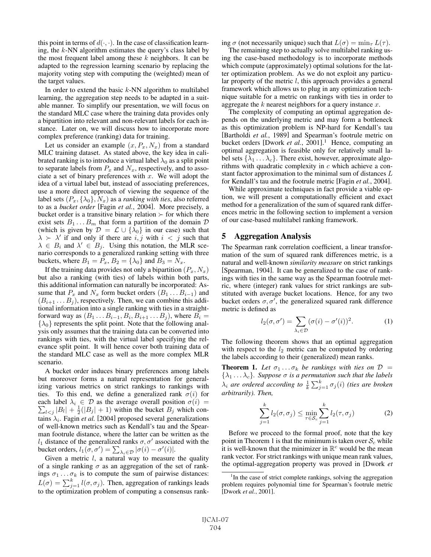this point in terms of  $d(\cdot, \cdot)$ . In the case of classification learning, the  $k$ -NN algorithm estimates the query's class label by the most frequent label among these  $k$  neighbors. It can be adapted to the regression learning scenario by replacing the majority voting step with computing the (weighted) mean of the target values.

In order to extend the basic  $k$ -NN algorithm to multilabel learning, the aggregation step needs to be adapted in a suitable manner. To simplify our presentation, we will focus on the standard MLC case where the training data provides only a bipartition into relevant and non-relevant labels for each instance. Later on, we will discuss how to incorporate more complex preference (ranking) data for training.

Let us consider an example  $(x, P_x, N_x)$  from a standard MLC training dataset. As stated above, the key idea in calibrated ranking is to introduce a virtual label  $\lambda_0$  as a split point to separate labels from  $P_x$  and  $N_x$ , respectively, and to associate a set of binary preferences with  $x$ . We will adopt the idea of a virtual label but, instead of associating preferences, use a more direct approach of viewing the sequence of the label sets  $(P_x, \{\lambda_0\}, N_x)$  as a *ranking with ties*, also referred to as a *bucket order* [Fagin *et al.*, 2004]. More precisely, a bucket order is a transitive binary relation  $\succ$  for which there exist sets  $B_1 \dots B_m$  that form a partition of the domain  $\mathcal D$ (which is given by  $\mathcal{D} = \mathcal{L} \cup \{\lambda_0\}$  in our case) such that  $\lambda > \lambda'$  if and only if there are i, j with  $i < j$  such that  $\lambda \in B_i$  and  $\lambda' \in B_j$ . Using this notation, the MLR scenario corresponds to a generalized ranking setting with three buckets, where  $B_1 = P_x$ ,  $B_2 = \{\lambda_0\}$  and  $B_3 = N_x$ .

If the training data provides not only a bipartition  $(P_x, N_x)$ but also a ranking (with ties) of labels within both parts, this additional information can naturally be incorporated: Assume that  $P_x$  and  $N_x$  form bucket orders  $(B_1 \dots B_{i-1})$  and  $(B_{i+1} \ldots B_j)$ , respectively. Then, we can combine this additional information into a single ranking with ties in a straightforward way as  $(B_1 \ldots B_{i-1}, B_i, B_{i+1} \ldots B_j)$ , where  $B_i =$  $\{\lambda_0\}$  represents the split point. Note that the following analysis only assumes that the training data can be converted into rankings with ties, with the virtual label specifying the relevance split point. It will hence cover both training data of the standard MLC case as well as the more complex MLR scenario.

A bucket order induces binary preferences among labels but moreover forms a natural representation for generalizing various metrics on strict rankings to rankings with ties. To this end, we define a generalized rank  $\sigma(i)$  for  $\sum_{l < j} |B_l| + \frac{1}{2}(|B_j| + 1)$  within the bucket  $B_j$  which coneach label  $\lambda_i \in \mathcal{D}$  as the average overall position  $\sigma(i)$ tains  $\lambda_i$ . Fagin *et al.* [2004] proposed several generalizations of well-known metrics such as Kendall's tau and the Spearman footrule distance, where the latter can be written as the  $l_1$  distance of the generalized ranks  $\sigma$ ,  $\sigma'$  associated with the bucket orders,  $l_1(\sigma, \sigma') = \sum_{\lambda_i \in \mathcal{D}} |\sigma(i) - \sigma'(i)|$ .<br>Given a metric  $l$ , a network to measure

Given a metric  $l$ , a natural way to measure the quality of a single ranking  $\sigma$  as an aggregation of the set of rankings  $\sigma_1 \dots \sigma_k$  is to compute the sum of pairwise distances:  $L(\sigma) = \sum_{j=1}^{k} l(\sigma, \sigma_j)$ . Then, aggregation of rankings leads to the optimization problem of computing a consensus ranking  $\sigma$  (not necessarily unique) such that  $L(\sigma) = \min_{\tau} L(\tau)$ .

The remaining step to actually solve multilabel ranking using the case-based methodology is to incorporate methods which compute (approximately) optimal solutions for the latter optimization problem. As we do not exploit any particular property of the metric  $l$ , this approach provides a general framework which allows us to plug in any optimization technique suitable for a metric on rankings with ties in order to aggregate the  $k$  nearest neighbors for a query instance  $x$ .

The complexity of computing an optimal aggregation depends on the underlying metric and may form a bottleneck as this optimization problem is NP-hard for Kendall's tau [Bartholdi *et al.*, 1989] and Spearman's footrule metric on bucket orders [Dwork *et al.*, 2001]. <sup>1</sup> Hence, computing an optimal aggregation is feasible only for relatively small label sets  $\{\lambda_1 \dots \lambda_c\}$ . There exist, however, approximate algorithms with quadratic complexity in  $c$  which achieve a constant factor approximation to the minimal sum of distances L for Kendall's tau and the footrule metric [Fagin *et al.*, 2004].

While approximate techniques in fact provide a viable option, we will present a computationally efficient and exact method for a generalization of the sum of squared rank differences metric in the following section to implement a version of our case-based multilabel ranking framework.

#### 5 Aggregation Analysis

The Spearman rank correlation coefficient, a linear transformation of the sum of squared rank differences metric, is a natural and well-known *similarity measure* on strict rankings [Spearman, 1904]. It can be generalized to the case of rankings with ties in the same way as the Spearman footrule metric, where (integer) rank values for strict rankings are substituted with average bucket locations. Hence, for any two bucket orders  $\sigma$ ,  $\sigma'$ , the generalized squared rank difference metric is defined as

$$
l_2(\sigma, \sigma') = \sum_{\lambda_i \in \mathcal{D}} (\sigma(i) - \sigma'(i))^2.
$$
 (1)

The following theorem shows that an optimal aggregation with respect to the  $l_2$  metric can be computed by ordering the labels according to their (generalized) mean ranks.

**Theorem 1.** Let  $\sigma_1 \ldots \sigma_k$  be rankings with ties on  $\mathcal{D}$  =  $\{\lambda_1 \ldots \lambda_c\}$ *. Suppose*  $\sigma$  *is a permutation such that the labels*  $\lambda_i$  are ordered according to  $\frac{1}{k} \sum_{j=1}^k \sigma_j(i)$  (ties are broken<br>arbitrarily). Then *arbitrarily). Then,*

$$
\sum_{j=1}^{k} l_2(\sigma, \sigma_j) \le \min_{\tau \in \mathcal{S}_c} \sum_{j=1}^{k} l_2(\tau, \sigma_j)
$$
 (2)

Before we proceed to the formal proof, note that the key point in Theorem 1 is that the minimum is taken over  $S_c$  while it is well-known that the minimizer in  $\mathbb{R}^c$  would be the mean rank vector. For strict rankings with unique mean rank values, the optimal-aggregation property was proved in [Dwork *et*

<sup>&</sup>lt;sup>1</sup>In the case of strict complete rankings, solving the aggregation problem requires polynomial time for Spearman's footrule metric [Dwork *et al.*, 2001].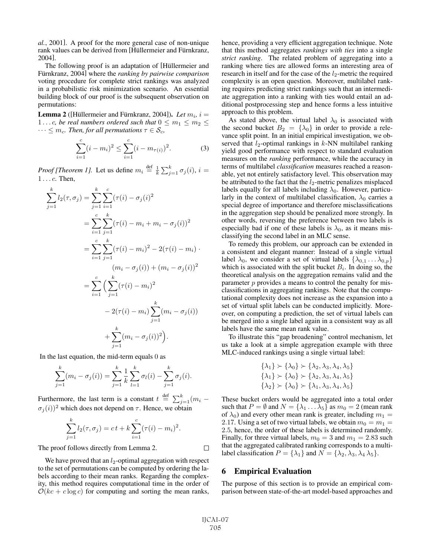*al.*, 2001]. A proof for the more general case of non-unique rank values can be derived from [Hüllermeier and Fürnkranz, 2004].

The following proof is an adaptation of [Hüllermeier and Fürnkranz, 2004] where the *ranking by pairwise comparison* voting procedure for complete strict rankings was analyzed in a probabilistic risk minimization scenario. An essential building block of our proof is the subsequent observation on permutations:

**Lemma 2** ([Hüllermeier and Fürnkranz, 2004]). *Let*  $m_i$ ,  $i =$ 1...c, be real numbers ordered such that  $0 \le m_1 \le m_2 \le$  $\cdots \leq m_c$ *. Then, for all permutations*  $\tau \in \mathcal{S}_c$ *,* 

$$
\sum_{i=1}^{c} (i - m_i)^2 \le \sum_{i=1}^{c} (i - m_{\tau(i)})^2.
$$
 (3)

*Proof [Theorem 1]*. Let us define  $m_i \stackrel{\text{def}}{=} \frac{1}{k} \sum_{j=1}^k \sigma_j(i)$ ,  $i = 1$ 1 ...c. Then,

$$
\sum_{j=1}^{k} l_2(\tau, \sigma_j) = \sum_{j=1}^{k} \sum_{i=1}^{c} (\tau(i) - \sigma_j(i)^2)
$$
  
= 
$$
\sum_{i=1}^{c} \sum_{j=1}^{k} (\tau(i) - m_i + m_i - \sigma_j(i))^2
$$
  
= 
$$
\sum_{i=1}^{c} \sum_{j=1}^{k} (\tau(i) - m_i)^2 - 2(\tau(i) - m_i) \cdot (m_i - \sigma_j(i)) + (m_i - \sigma_j(i))^2
$$
  
= 
$$
\sum_{i=1}^{c} \left( \sum_{j=1}^{k} (\tau(i) - m_i)^2 - 2(\tau(i) - m_i) \sum_{j=1}^{k} (m_i - \sigma_j(i)) \right)
$$
  
+ 
$$
\sum_{j=1}^{k} (m_i - \sigma_j(i))^2
$$
.

In the last equation, the mid-term equals 0 as

$$
\sum_{j=1}^{k} (m_i - \sigma_j(i)) = \sum_{j=1}^{k} \frac{1}{k} \sum_{l=1}^{k} \sigma_l(i) - \sum_{j=1}^{k} \sigma_j(i).
$$

Furthermore, the last term is a constant  $t \stackrel{\text{def}}{=} \sum_{j=1}^{k} (m_i - \epsilon)^{(k)} t^{(k)}$  $\sigma_i(i))^2$  which does not depend on  $\tau$ . Hence, we obtain

$$
\sum_{j=1}^{k} l_2(\tau, \sigma_j) = ct + k \sum_{i=1}^{c} (\tau(i) - m_i)^2.
$$

The proof follows directly from Lemma 2.

We have proved that an  $l_2$ -optimal aggregation with respect to the set of permutations can be computed by ordering the labels according to their mean ranks. Regarding the complexity, this method requires computational time in the order of  $\mathcal{O}(kc + c \log c)$  for computing and sorting the mean ranks, hence, providing a very efficient aggregation technique. Note that this method aggregates *rankings with ties* into a single *strict ranking*. The related problem of aggregating into a ranking where ties are allowed forms an interesting area of research in itself and for the case of the  $l_2$ -metric the required complexity is an open question. Moreover, multilabel ranking requires predicting strict rankings such that an intermediate aggregation into a ranking with ties would entail an additional postprocessing step and hence forms a less intuitive approach to this problem.

As stated above, the virtual label  $\lambda_0$  is associated with the second bucket  $B_2 = {\lambda_0}$  in order to provide a relevance split point. In an initial empirical investigation, we observed that  $l_2$ -optimal rankings in  $k$ -NN multilabel ranking yield good performance with respect to standard evaluation measures on the *ranking* performance, while the accuracy in terms of multilabel *classification* measures reached a reasonable, yet not entirely satisfactory level. This observation may be attributed to the fact that the  $l_2$ -metric penalizes misplaced labels equally for all labels including  $\lambda_0$ . However, particularly in the context of multilabel classification,  $\lambda_0$  carries a special degree of importance and therefore misclassifications in the aggregation step should be penalized more strongly. In other words, reversing the preference between two labels is especially bad if one of these labels is  $\lambda_0$ , as it means misclassifying the second label in an MLC sense.

To remedy this problem, our approach can be extended in a consistent and elegant manner: Instead of a single virtual label  $\lambda_0$ , we consider a set of virtual labels  $\{\lambda_{0,1} \ldots \lambda_{0,p}\}$ which is associated with the split bucket  $B_i$ . In doing so, the theoretical analysis on the aggregation remains valid and the parameter  $p$  provides a means to control the penalty for misclassifications in aggregating rankings. Note that the computational complexity does not increase as the expansion into a set of virtual split labels can be conducted implicitly. Moreover, on computing a prediction, the set of virtual labels can be merged into a single label again in a consistent way as all labels have the same mean rank value.

To illustrate this "gap broadening" control mechanism, let us take a look at a simple aggregation example with three MLC-induced rankings using a single virtual label:

$$
\{\lambda_1\} \succ \{\lambda_0\} \succ \{\lambda_2, \lambda_3, \lambda_4, \lambda_5\}
$$
  

$$
\{\lambda_1\} \succ \{\lambda_0\} \succ \{\lambda_2, \lambda_3, \lambda_4, \lambda_5\}
$$
  

$$
\{\lambda_2\} \succ \{\lambda_0\} \succ \{\lambda_1, \lambda_3, \lambda_4, \lambda_5\}
$$

These bucket orders would be aggregated into a total order such that  $P = \emptyset$  and  $N = \{\lambda_1 \dots \lambda_5\}$  as  $m_0 = 2$  (mean rank of  $\lambda_0$ ) and every other mean rank is greater, including  $m_1 =$ 2.17. Using a set of two virtual labels, we obtain  $m_0 = m_1 =$ 2.5, hence, the order of these labels is determined randomly. Finally, for three virtual labels,  $m_0 = 3$  and  $m_1 = 2.83$  such that the aggregated calibrated ranking corresponds to a multilabel classification  $P = {\lambda_1}$  and  $N = {\lambda_2, \lambda_3, \lambda_4 \lambda_5}.$ 

#### 6 Empirical Evaluation

The purpose of this section is to provide an empirical comparison between state-of-the-art model-based approaches and

 $\Box$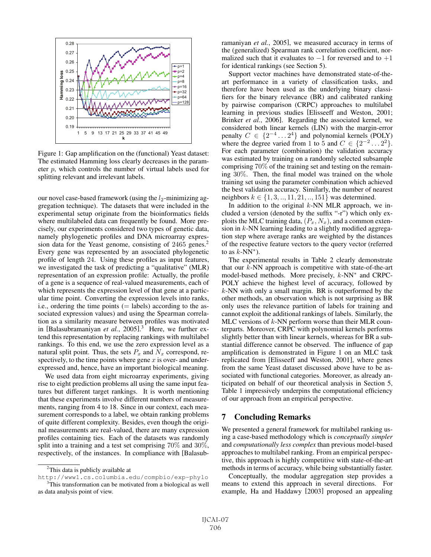

Figure 1: Gap amplification on the (functional) Yeast dataset: The estimated Hamming loss clearly decreases in the parameter p, which controls the number of virtual labels used for splitting relevant and irrelevant labels.

our novel case-based framework (using the  $l_2$ -minimizing aggregation technique). The datasets that were included in the experimental setup originate from the bioinformatics fields where multilabeled data can frequently be found. More precisely, our experiments considered two types of genetic data, namely phylogenetic profiles and DNA microarray expression data for the Yeast genome, consisting of 2465 genes.<sup>2</sup> Every gene was represented by an associated phylogenetic profile of length 24. Using these profiles as input features, we investigated the task of predicting a "qualitative" (MLR) representation of an expression profile: Actually, the profile of a gene is a sequence of real-valued measurements, each of which represents the expression level of that gene at a particular time point. Converting the expression levels into ranks, i.e., ordering the time points  $(=$  labels) according to the associated expression values) and using the Spearman correlation as a similarity measure between profiles was motivated in [Balasubramaniyan *et al.*, 2005]. <sup>3</sup> Here, we further extend this representation by replacing rankings with multilabel rankings. To this end, we use the zero expression level as a natural split point. Thus, the sets  $P_x$  and  $N_x$  correspond, respectively, to the time points where gene  $x$  is over- and underexpressed and, hence, have an important biological meaning.

We used data from eight microarray experiments, giving rise to eight prediction problems all using the same input features but different target rankings. It is worth mentioning that these experiments involve different numbers of measurements, ranging from 4 to 18. Since in our context, each measurement corresponds to a label, we obtain ranking problems of quite different complexity. Besides, even though the original measurements are real-valued, there are many expression profiles containing ties. Each of the datasets was randomly split into a training and a test set comprising 70% and 30%, respectively, of the instances. In compliance with [Balasubramaniyan *et al.*, 2005], we measured accuracy in terms of the (generalized) Spearman rank correlation coefficient, normalized such that it evaluates to <sup>−</sup>1 for reversed and to +1 for identical rankings (see Section 5).

Support vector machines have demonstrated state-of-theart performance in a variety of classification tasks, and therefore have been used as the underlying binary classifiers for the binary relevance (BR) and calibrated ranking by pairwise comparison (CRPC) approaches to multilabel learning in previous studies [Elisseeff and Weston, 2001; Brinker *et al.*, 2006]. Regarding the associated kernel, we considered both linear kernels (LIN) with the margin-error penalty  $C \in \{2^{-4} \dots 2^4\}$  and polynomial kernels (POLY) where the degree varied from 1 to 5 and  $C \in \{2^{-2} \dots 2^2\}$ . For each parameter (combination) the validation accuracy was estimated by training on a randomly selected subsample comprising 70% of the training set and testing on the remaining 30%. Then, the final model was trained on the whole training set using the parameter combination which achieved the best validation accuracy. Similarly, the number of nearest neighbors  $k \in \{1, 3, ..., 11, 21, ..., 151\}$  was determined.

In addition to the original  $k$ -NN MLR approach, we included a version (denoted by the suffix "-r") which only exploits the MLC training data,  $(P_x, N_x)$ , and a common extension in  $k$ -NN learning leading to a slightly modified aggregation step where average ranks are weighted by the distances of the respective feature vectors to the query vector (referred to as  $k$ -NN<sup>\*</sup>).

The experimental results in Table 2 clearly demonstrate that our  $k$ -NN approach is competitive with state-of-the-art model-based methods. More precisely, k-NN<sup>∗</sup> and CRPC-POLY achieve the highest level of accuracy, followed by  $k$ -NN with only a small margin. BR is outperformed by the other methods, an observation which is not surprising as BR only uses the relevance partition of labels for training and cannot exploit the additional rankings of labels. Similarly, the MLC versions of  $k$ -NN perform worse than their MLR counterparts. Moreover, CRPC with polynomial kernels performs slightly better than with linear kernels, whereas for BR a substantial difference cannot be observed. The influence of gap amplification is demonstrated in Figure 1 on an MLC task replicated from [Elisseeff and Weston, 2001], where genes from the same Yeast dataset discussed above have to be associated with functional categories. Moreover, as already anticipated on behalf of our theoretical analysis in Section 5, Table 1 impressively underpins the computational efficiency of our approach from an empirical perspective.

### 7 Concluding Remarks

We presented a general framework for multilabel ranking using a case-based methodology which is *conceptually simpler* and *computationally less complex* than previous model-based approaches to multilabel ranking. From an empirical perspective, this approach is highly competitive with state-of-the-art methods in terms of accuracy, while being substantially faster.

Conceptually, the modular aggregation step provides a means to extend this approach in several directions. For example, Ha and Haddawy [2003] proposed an appealing

<sup>&</sup>lt;sup>2</sup>This data is publicly available at

http://www1.cs.columbia.edu/compbio/exp-phylo <sup>3</sup>This transformation can be motivated from a biological as well as data analysis point of view.